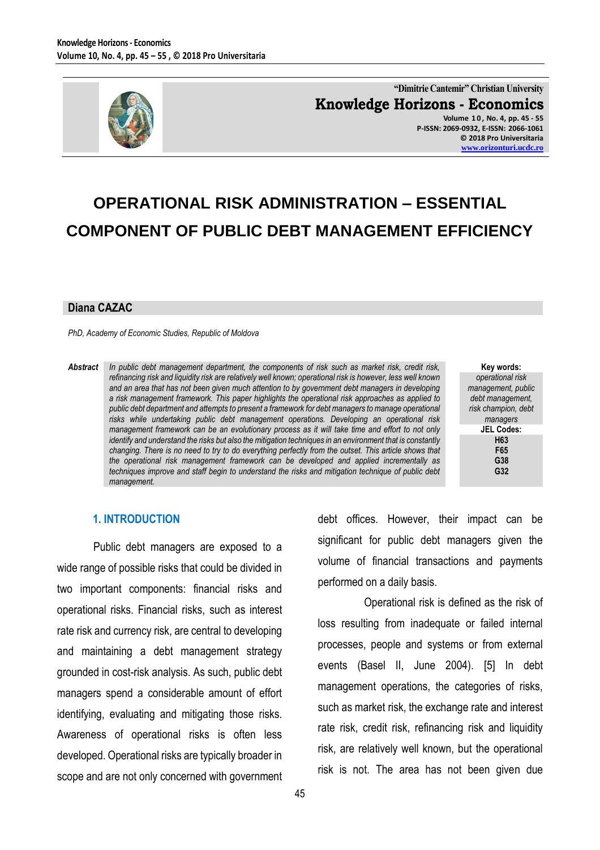

**"Dimitrie Cantemir" Christian University Knowledge Horizons - Economics Volume 1 0 , No. 4, pp. 45 - 55 P-ISSN: 2069-0932, E-ISSN: 2066-1061 © 2018 Pro Universitaria [www.orizonturi.ucdc.ro](http://www.orizonturi.ucdc.ro/)**

# **OPERATIONAL RISK ADMINISTRATION – ESSENTIAL COMPONENT OF PUBLIC DEBT MANAGEMENT EFFICIENCY**

#### **Diana CAZAC**

*PhD, Academy of Economic Studies, Republic of Moldova*

*Abstract In public debt management department, the components of risk such as market risk, credit risk, refinancing risk and liquidity risk are relatively well known; operational risk is however, less well known and an area that has not been given much attention to by government debt managers in developing a risk management framework. This paper highlights the operational risk approaches as applied to public debt department and attempts to present a framework for debt managers to manage operational risks while undertaking public debt management operations. Developing an operational risk management framework can be an evolutionary process as it will take time and effort to not only identify and understand the risks but also the mitigation techniques in an environment that is constantly changing. There is no need to try to do everything perfectly from the outset. This article shows that the operational risk management framework can be developed and applied incrementally as techniques improve and staff begin to understand the risks and mitigation technique of public debt management.*

**Key words:** *operational risk management, public debt management, risk champion, debt managers* **JEL Codes: H63 F65 G38 G32**

### **1. INTRODUCTION**

Public debt managers are exposed to a wide range of possible risks that could be divided in two important components: financial risks and operational risks. Financial risks, such as interest rate risk and currency risk, are central to developing and maintaining a debt management strategy grounded in cost-risk analysis. As such, public debt managers spend a considerable amount of effort identifying, evaluating and mitigating those risks. Awareness of operational risks is often less developed. Operational risks are typically broader in scope and are not only concerned with government

debt offices. However, their impact can be significant for public debt managers given the volume of financial transactions and payments performed on a daily basis.

Operational risk is defined as the risk of loss resulting from inadequate or failed internal processes, people and systems or from external events (Basel II, June 2004). [5] In debt management operations, the categories of risks, such as market risk, the exchange rate and interest rate risk, credit risk, refinancing risk and liquidity risk, are relatively well known, but the operational risk is not. The area has not been given due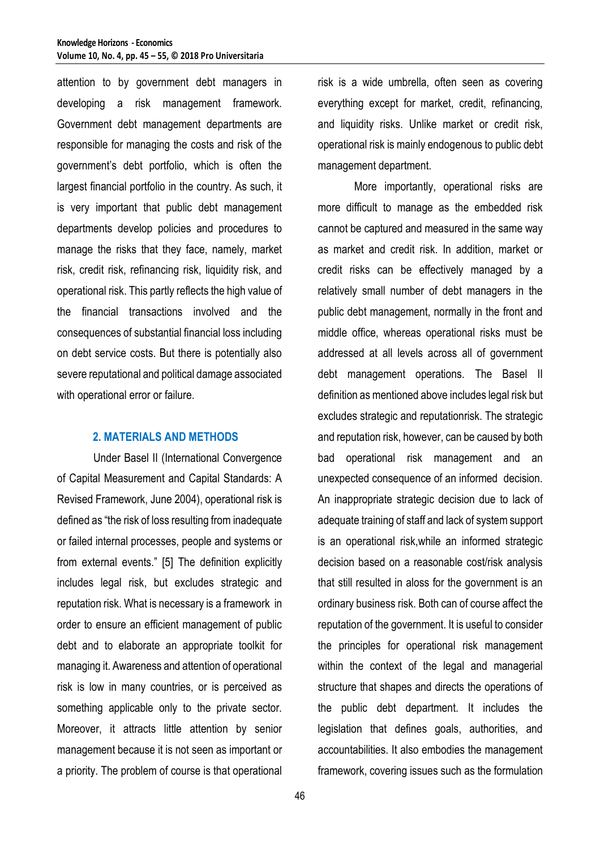attention to by government debt managers in developing a risk management framework. Government debt management departments are responsible for managing the costs and risk of the government's debt portfolio, which is often the largest financial portfolio in the country. As such, it is very important that public debt management departments develop policies and procedures to manage the risks that they face, namely, market risk, credit risk, refinancing risk, liquidity risk, and operational risk. This partly reflects the high value of the financial transactions involved and the consequences of substantial financial loss including on debt service costs. But there is potentially also severe reputational and political damage associated with operational error or failure.

### **2. MATERIALS AND METHODS**

Under Basel II (International Convergence of Capital Measurement and Capital Standards: A Revised Framework, June 2004), operational risk is defined as "the risk of loss resulting from inadequate or failed internal processes, people and systems or from external events." [5] The definition explicitly includes legal risk, but excludes strategic and reputation risk. What is necessary is a framework in order to ensure an efficient management of public debt and to elaborate an appropriate toolkit for managing it. Awareness and attention of operational risk is low in many countries, or is perceived as something applicable only to the private sector. Moreover, it attracts little attention by senior management because it is not seen as important or a priority. The problem of course is that operational

risk is a wide umbrella, often seen as covering everything except for market, credit, refinancing, and liquidity risks. Unlike market or credit risk, operational risk is mainly endogenous to public debt management department.

More importantly, operational risks are more difficult to manage as the embedded risk cannot be captured and measured in the same way as market and credit risk. In addition, market or credit risks can be effectively managed by a relatively small number of debt managers in the public debt management, normally in the front and middle office, whereas operational risks must be addressed at all levels across all of government debt management operations. The Basel II definition as mentioned above includes legal risk but excludes strategic and reputationrisk. The strategic and reputation risk, however, can be caused by both bad operational risk management and an unexpected consequence of an informed decision. An inappropriate strategic decision due to lack of adequate training of staff and lack of system support is an operational risk,while an informed strategic decision based on a reasonable cost/risk analysis that still resulted in aloss for the government is an ordinary business risk. Both can of course affect the reputation of the government. It is useful to consider the principles for operational risk management within the context of the legal and managerial structure that shapes and directs the operations of the public debt department. It includes the legislation that defines goals, authorities, and accountabilities. It also embodies the management framework, covering issues such as the formulation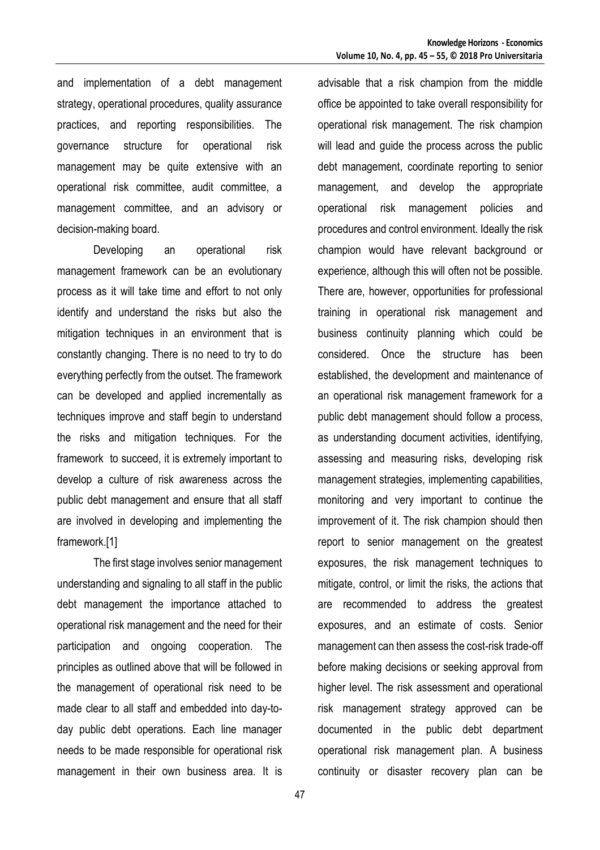and implementation of a debt management strategy, operational procedures, quality assurance practices, and reporting responsibilities. The governance structure for operational risk management may be quite extensive with an operational risk committee, audit committee, a management committee, and an advisory or decision-making board.

Developing an operational risk management framework can be an evolutionary process as it will take time and effort to not only identify and understand the risks but also the mitigation techniques in an environment that is constantly changing. There is no need to try to do everything perfectly from the outset. The framework can be developed and applied incrementally as techniques improve and staff begin to understand the risks and mitigation techniques. For the framework to succeed, it is extremely important to develop a culture of risk awareness across the public debt management and ensure that all staff are involved in developing and implementing the framework.[1]

The first stage involves senior management understanding and signaling to all staff in the public debt management the importance attached to operational risk management and the need for their participation and ongoing cooperation. The principles as outlined above that will be followed in the management of operational risk need to be made clear to all staff and embedded into day-today public debt operations. Each line manager needs to be made responsible for operational risk management in their own business area. It is advisable that a risk champion from the middle office be appointed to take overall responsibility for operational risk management. The risk champion will lead and guide the process across the public debt management, coordinate reporting to senior management, and develop the appropriate operational risk management policies and procedures and control environment. Ideally the risk champion would have relevant background or experience, although this will often not be possible. There are, however, opportunities for professional training in operational risk management and business continuity planning which could be considered. Once the structure has been established, the development and maintenance of an operational risk management framework for a public debt management should follow a process, as understanding document activities, identifying, assessing and measuring risks, developing risk management strategies, implementing capabilities, monitoring and very important to continue the improvement of it. The risk champion should then report to senior management on the greatest exposures, the risk management techniques to mitigate, control, or limit the risks, the actions that are recommended to address the greatest exposures, and an estimate of costs. Senior management can then assess the cost-risk trade-off before making decisions or seeking approval from higher level. The risk assessment and operational risk management strategy approved can be documented in the public debt department operational risk management plan. A business continuity or disaster recovery plan can be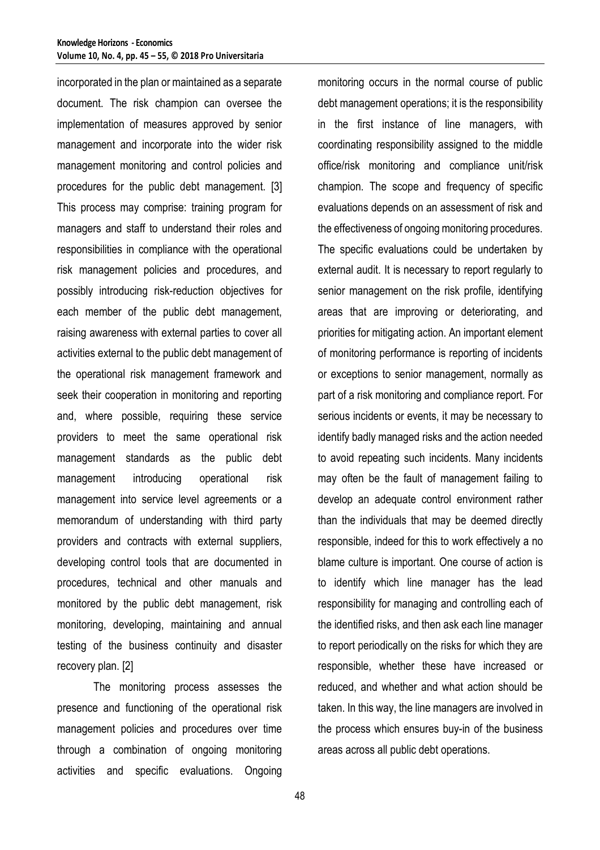incorporated in the plan or maintained as a separate document. The risk champion can oversee the implementation of measures approved by senior management and incorporate into the wider risk management monitoring and control policies and procedures for the public debt management. [3] This process may comprise: training program for managers and staff to understand their roles and responsibilities in compliance with the operational risk management policies and procedures, and possibly introducing risk-reduction objectives for each member of the public debt management, raising awareness with external parties to cover all activities external to the public debt management of the operational risk management framework and seek their cooperation in monitoring and reporting and, where possible, requiring these service providers to meet the same operational risk management standards as the public debt management introducing operational risk management into service level agreements or a memorandum of understanding with third party providers and contracts with external suppliers, developing control tools that are documented in procedures, technical and other manuals and monitored by the public debt management, risk monitoring, developing, maintaining and annual testing of the business continuity and disaster recovery plan. [2]

The monitoring process assesses the presence and functioning of the operational risk management policies and procedures over time through a combination of ongoing monitoring activities and specific evaluations. Ongoing monitoring occurs in the normal course of public debt management operations; it is the responsibility in the first instance of line managers, with coordinating responsibility assigned to the middle office/risk monitoring and compliance unit/risk champion. The scope and frequency of specific evaluations depends on an assessment of risk and the effectiveness of ongoing monitoring procedures. The specific evaluations could be undertaken by external audit. It is necessary to report regularly to senior management on the risk profile, identifying areas that are improving or deteriorating, and priorities for mitigating action. An important element of monitoring performance is reporting of incidents or exceptions to senior management, normally as part of a risk monitoring and compliance report. For serious incidents or events, it may be necessary to identify badly managed risks and the action needed to avoid repeating such incidents. Many incidents may often be the fault of management failing to develop an adequate control environment rather than the individuals that may be deemed directly responsible, indeed for this to work effectively a no blame culture is important. One course of action is to identify which line manager has the lead responsibility for managing and controlling each of the identified risks, and then ask each line manager to report periodically on the risks for which they are responsible, whether these have increased or reduced, and whether and what action should be taken. In this way, the line managers are involved in the process which ensures buy-in of the business areas across all public debt operations.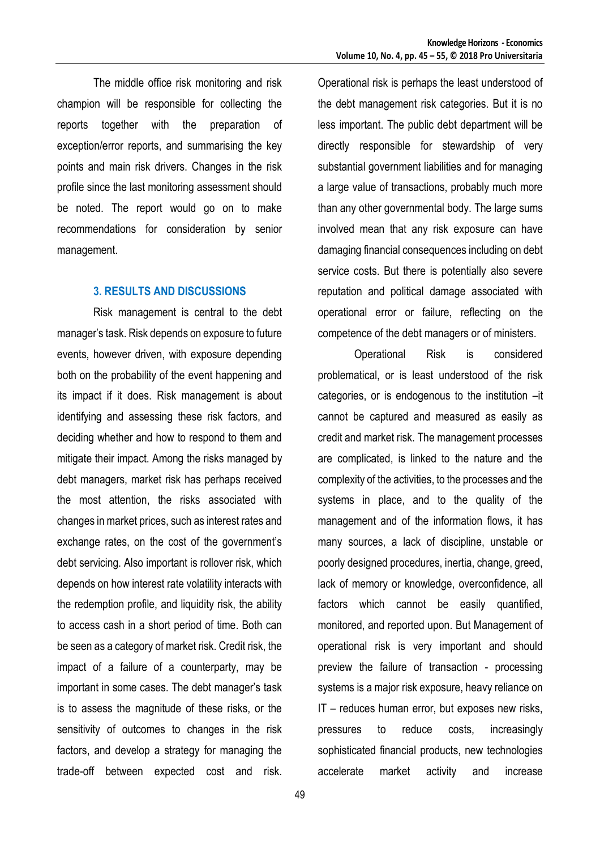The middle office risk monitoring and risk champion will be responsible for collecting the reports together with the preparation of exception/error reports, and summarising the key points and main risk drivers. Changes in the risk profile since the last monitoring assessment should be noted. The report would go on to make recommendations for consideration by senior management.

#### **3. RESULTS AND DISCUSSIONS**

Risk management is central to the debt manager's task. Risk depends on exposure to future events, however driven, with exposure depending both on the probability of the event happening and its impact if it does. Risk management is about identifying and assessing these risk factors, and deciding whether and how to respond to them and mitigate their impact. Among the risks managed by debt managers, market risk has perhaps received the most attention, the risks associated with changes in market prices, such as interest rates and exchange rates, on the cost of the government's debt servicing. Also important is rollover risk, which depends on how interest rate volatility interacts with the redemption profile, and liquidity risk, the ability to access cash in a short period of time. Both can be seen as a category of market risk. Credit risk, the impact of a failure of a counterparty, may be important in some cases. The debt manager's task is to assess the magnitude of these risks, or the sensitivity of outcomes to changes in the risk factors, and develop a strategy for managing the trade-off between expected cost and risk. Operational risk is perhaps the least understood of the debt management risk categories. But it is no less important. The public debt department will be directly responsible for stewardship of very substantial government liabilities and for managing a large value of transactions, probably much more than any other governmental body. The large sums involved mean that any risk exposure can have damaging financial consequences including on debt service costs. But there is potentially also severe reputation and political damage associated with operational error or failure, reflecting on the competence of the debt managers or of ministers.

Operational Risk is considered problematical, or is least understood of the risk categories, or is endogenous to the institution –it cannot be captured and measured as easily as credit and market risk. The management processes are complicated, is linked to the nature and the complexity of the activities, to the processes and the systems in place, and to the quality of the management and of the information flows, it has many sources, a lack of discipline, unstable or poorly designed procedures, inertia, change, greed, lack of memory or knowledge, overconfidence, all factors which cannot be easily quantified, monitored, and reported upon. But Management of operational risk is very important and should preview the failure of transaction - processing systems is a major risk exposure, heavy reliance on IT – reduces human error, but exposes new risks, pressures to reduce costs, increasingly sophisticated financial products, new technologies accelerate market activity and increase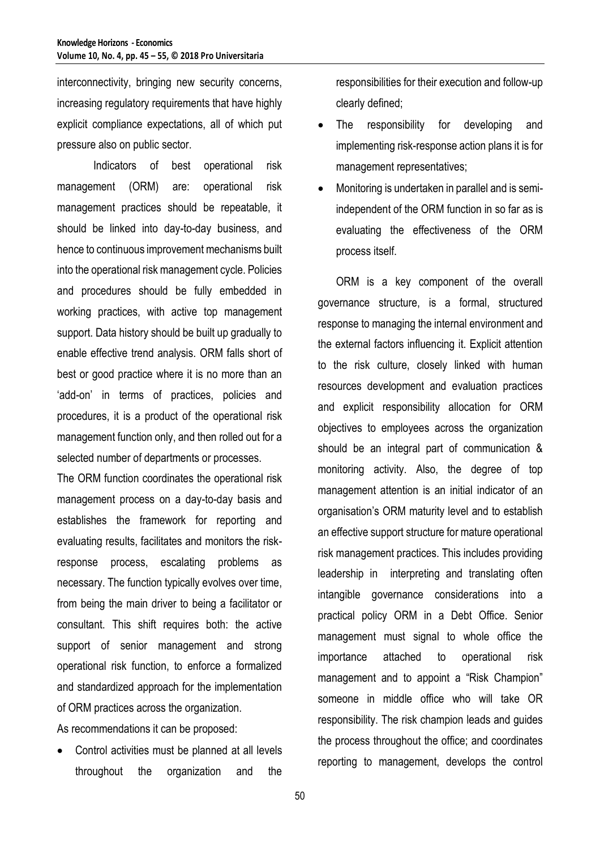interconnectivity, bringing new security concerns, increasing regulatory requirements that have highly explicit compliance expectations, all of which put pressure also on public sector.

Indicators of best operational risk management (ORM) are: operational risk management practices should be repeatable, it should be linked into day-to-day business, and hence to continuous improvement mechanisms built into the operational risk management cycle. Policies and procedures should be fully embedded in working practices, with active top management support. Data history should be built up gradually to enable effective trend analysis. ORM falls short of best or good practice where it is no more than an 'add-on' in terms of practices, policies and procedures, it is a product of the operational risk management function only, and then rolled out for a selected number of departments or processes.

The ORM function coordinates the operational risk management process on a day-to-day basis and establishes the framework for reporting and evaluating results, facilitates and monitors the riskresponse process, escalating problems as necessary. The function typically evolves over time, from being the main driver to being a facilitator or consultant. This shift requires both: the active support of senior management and strong operational risk function, to enforce a formalized and standardized approach for the implementation of ORM practices across the organization.

As recommendations it can be proposed:

 Control activities must be planned at all levels throughout the organization and the responsibilities for their execution and follow-up clearly defined;

- The responsibility for developing and implementing risk-response action plans it is for management representatives;
- Monitoring is undertaken in parallel and is semiindependent of the ORM function in so far as is evaluating the effectiveness of the ORM process itself.

ORM is a key component of the overall governance structure, is a formal, structured response to managing the internal environment and the external factors influencing it. Explicit attention to the risk culture, closely linked with human resources development and evaluation practices and explicit responsibility allocation for ORM objectives to employees across the organization should be an integral part of communication & monitoring activity. Also, the degree of top management attention is an initial indicator of an organisation's ORM maturity level and to establish an effective support structure for mature operational risk management practices. This includes providing leadership in interpreting and translating often intangible governance considerations into a practical policy ORM in a Debt Office. Senior management must signal to whole office the importance attached to operational risk management and to appoint a "Risk Champion" someone in middle office who will take OR responsibility. The risk champion leads and guides the process throughout the office; and coordinates reporting to management, develops the control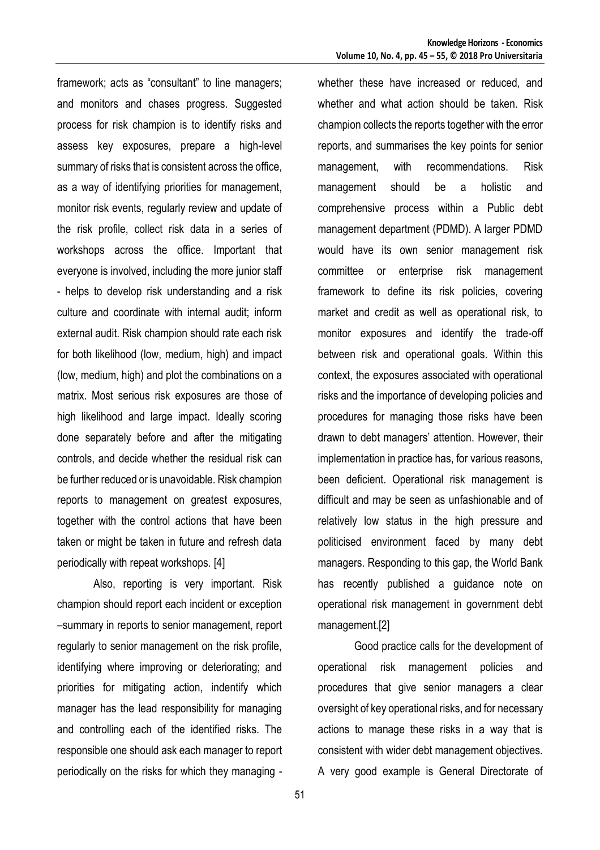framework; acts as "consultant" to line managers; and monitors and chases progress. Suggested process for risk champion is to identify risks and assess key exposures, prepare a high-level summary of risks that is consistent across the office, as a way of identifying priorities for management, monitor risk events, regularly review and update of the risk profile, collect risk data in a series of workshops across the office. Important that everyone is involved, including the more junior staff - helps to develop risk understanding and a risk culture and coordinate with internal audit; inform external audit. Risk champion should rate each risk for both likelihood (low, medium, high) and impact (low, medium, high) and plot the combinations on a matrix. Most serious risk exposures are those of high likelihood and large impact. Ideally scoring done separately before and after the mitigating controls, and decide whether the residual risk can be further reduced or is unavoidable. Risk champion reports to management on greatest exposures, together with the control actions that have been taken or might be taken in future and refresh data periodically with repeat workshops. [4]

Also, reporting is very important. Risk champion should report each incident or exception –summary in reports to senior management, report regularly to senior management on the risk profile, identifying where improving or deteriorating; and priorities for mitigating action, indentify which manager has the lead responsibility for managing and controlling each of the identified risks. The responsible one should ask each manager to report periodically on the risks for which they managing -

whether these have increased or reduced, and whether and what action should be taken. Risk champion collects the reports together with the error reports, and summarises the key points for senior management, with recommendations. Risk management should be a holistic and comprehensive process within a Public debt management department (PDMD). A larger PDMD would have its own senior management risk committee or enterprise risk management framework to define its risk policies, covering market and credit as well as operational risk, to monitor exposures and identify the trade-off between risk and operational goals. Within this context, the exposures associated with operational risks and the importance of developing policies and procedures for managing those risks have been drawn to debt managers' attention. However, their implementation in practice has, for various reasons, been deficient. Operational risk management is difficult and may be seen as unfashionable and of relatively low status in the high pressure and politicised environment faced by many debt managers. Responding to this gap, the World Bank has recently published a guidance note on operational risk management in government debt management.[2]

Good practice calls for the development of operational risk management policies and procedures that give senior managers a clear oversight of key operational risks, and for necessary actions to manage these risks in a way that is consistent with wider debt management objectives. A very good example is General Directorate of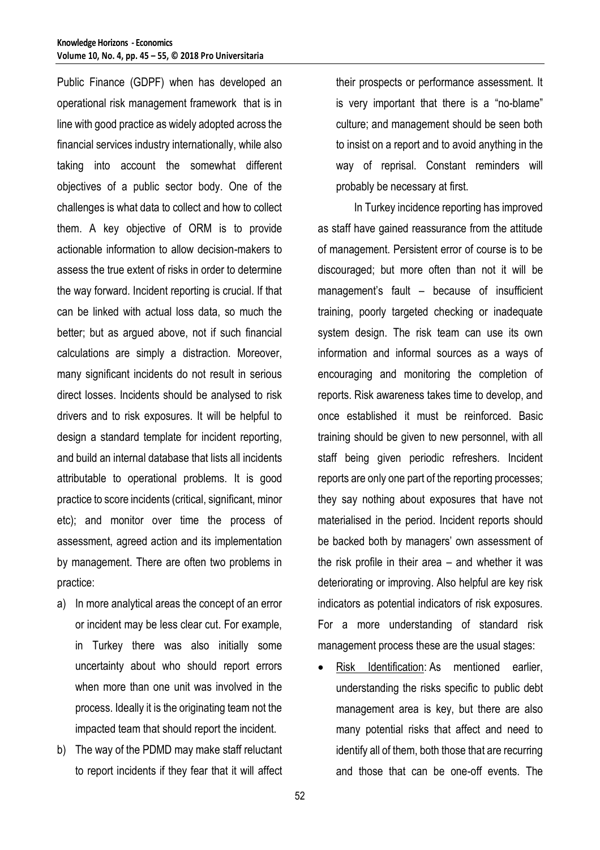Public Finance (GDPF) when has developed an operational risk management framework that is in line with good practice as widely adopted across the financial services industry internationally, while also taking into account the somewhat different objectives of a public sector body. One of the challenges is what data to collect and how to collect them. A key objective of ORM is to provide actionable information to allow decision-makers to assess the true extent of risks in order to determine the way forward. Incident reporting is crucial. If that can be linked with actual loss data, so much the better; but as argued above, not if such financial calculations are simply a distraction. Moreover, many significant incidents do not result in serious direct losses. Incidents should be analysed to risk drivers and to risk exposures. It will be helpful to design a standard template for incident reporting, and build an internal database that lists all incidents attributable to operational problems. It is good practice to score incidents (critical, significant, minor etc); and monitor over time the process of assessment, agreed action and its implementation by management. There are often two problems in practice:

- a) In more analytical areas the concept of an error or incident may be less clear cut. For example, in Turkey there was also initially some uncertainty about who should report errors when more than one unit was involved in the process. Ideally it is the originating team not the impacted team that should report the incident.
- b) The way of the PDMD may make staff reluctant to report incidents if they fear that it will affect

their prospects or performance assessment. It is very important that there is a "no-blame" culture; and management should be seen both to insist on a report and to avoid anything in the way of reprisal. Constant reminders will probably be necessary at first.

In Turkey incidence reporting has improved as staff have gained reassurance from the attitude of management. Persistent error of course is to be discouraged; but more often than not it will be management's fault – because of insufficient training, poorly targeted checking or inadequate system design. The risk team can use its own information and informal sources as a ways of encouraging and monitoring the completion of reports. Risk awareness takes time to develop, and once established it must be reinforced. Basic training should be given to new personnel, with all staff being given periodic refreshers. Incident reports are only one part of the reporting processes; they say nothing about exposures that have not materialised in the period. Incident reports should be backed both by managers' own assessment of the risk profile in their area – and whether it was deteriorating or improving. Also helpful are key risk indicators as potential indicators of risk exposures. For a more understanding of standard risk management process these are the usual stages:

[Risk Identification:](https://www.mitre.org/publications/systems-engineering-guide/acquisition-systems-engineering/risk-management/risk-identification) As mentioned earlier, understanding the risks specific to public debt management area is key, but there are also many potential risks that affect and need to identify all of them, both those that are recurring and those that can be one-off events. The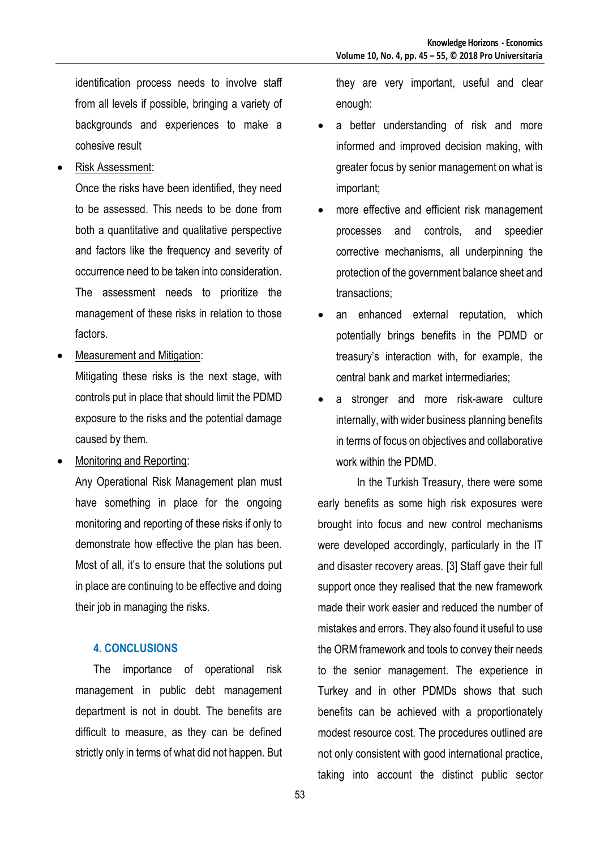identification process needs to involve staff from all levels if possible, bringing a variety of backgrounds and experiences to make a cohesive result

Risk Assessment:

Once the risks have been identified, they need to be assessed. This needs to be done from both a quantitative and qualitative perspective and factors like the frequency and severity of occurrence need to be taken into consideration. The assessment needs to prioritize the management of these risks in relation to those factors.

Measurement and Mitigation:

Mitigating these risks is the next stage, with controls put in place that should limit the PDMD exposure to the risks and the potential damage caused by them.

Monitoring and Reporting:

Any Operational Risk Management plan must have something in place for the ongoing monitoring and reporting of these risks if only to demonstrate how effective the plan has been. Most of all, it's to ensure that the solutions put in place are continuing to be effective and doing their job in managing the risks.

## **4. CONCLUSIONS**

The importance of operational risk management in public debt management department is not in doubt. The benefits are difficult to measure, as they can be defined strictly only in terms of what did not happen. But

they are very important, useful and clear enough:

- a better understanding of risk and more informed and improved decision making, with greater focus by senior management on what is important;
- more effective and efficient risk management processes and controls, and speedier corrective mechanisms, all underpinning the protection of the government balance sheet and transactions;
- an enhanced external reputation, which potentially brings benefits in the PDMD or treasury's interaction with, for example, the central bank and market intermediaries;
- a stronger and more risk-aware culture internally, with wider business planning benefits in terms of focus on objectives and collaborative work within the PDMD.

In the Turkish Treasury, there were some early benefits as some high risk exposures were brought into focus and new control mechanisms were developed accordingly, particularly in the IT and disaster recovery areas. [3] Staff gave their full support once they realised that the new framework made their work easier and reduced the number of mistakes and errors. They also found it useful to use the ORM framework and tools to convey their needs to the senior management. The experience in Turkey and in other PDMDs shows that such benefits can be achieved with a proportionately modest resource cost. The procedures outlined are not only consistent with good international practice, taking into account the distinct public sector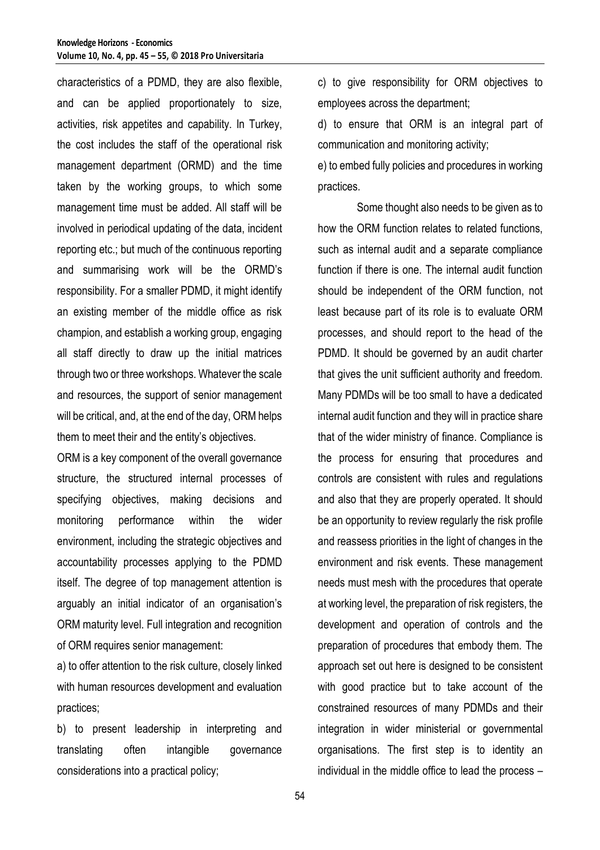characteristics of a PDMD, they are also flexible, and can be applied proportionately to size, activities, risk appetites and capability. In Turkey, the cost includes the staff of the operational risk management department (ORMD) and the time taken by the working groups, to which some management time must be added. All staff will be involved in periodical updating of the data, incident reporting etc.; but much of the continuous reporting and summarising work will be the ORMD's responsibility. For a smaller PDMD, it might identify an existing member of the middle office as risk champion, and establish a working group, engaging all staff directly to draw up the initial matrices through two or three workshops. Whatever the scale and resources, the support of senior management will be critical, and, at the end of the day, ORM helps them to meet their and the entity's objectives.

ORM is a key component of the overall governance structure, the structured internal processes of specifying objectives, making decisions and monitoring performance within the wider environment, including the strategic objectives and accountability processes applying to the PDMD itself. The degree of top management attention is arguably an initial indicator of an organisation's ORM maturity level. Full integration and recognition of ORM requires senior management:

a) to offer attention to the risk culture, closely linked with human resources development and evaluation practices;

b) to present leadership in interpreting and translating often intangible governance considerations into a practical policy;

c) to give responsibility for ORM objectives to employees across the department;

d) to ensure that ORM is an integral part of communication and monitoring activity;

e) to embed fully policies and procedures in working practices.

Some thought also needs to be given as to how the ORM function relates to related functions, such as internal audit and a separate compliance function if there is one. The internal audit function should be independent of the ORM function, not least because part of its role is to evaluate ORM processes, and should report to the head of the PDMD. It should be governed by an audit charter that gives the unit sufficient authority and freedom. Many PDMDs will be too small to have a dedicated internal audit function and they will in practice share that of the wider ministry of finance. Compliance is the process for ensuring that procedures and controls are consistent with rules and regulations and also that they are properly operated. It should be an opportunity to review regularly the risk profile and reassess priorities in the light of changes in the environment and risk events. These management needs must mesh with the procedures that operate at working level, the preparation of risk registers, the development and operation of controls and the preparation of procedures that embody them. The approach set out here is designed to be consistent with good practice but to take account of the constrained resources of many PDMDs and their integration in wider ministerial or governmental organisations. The first step is to identity an individual in the middle office to lead the process –